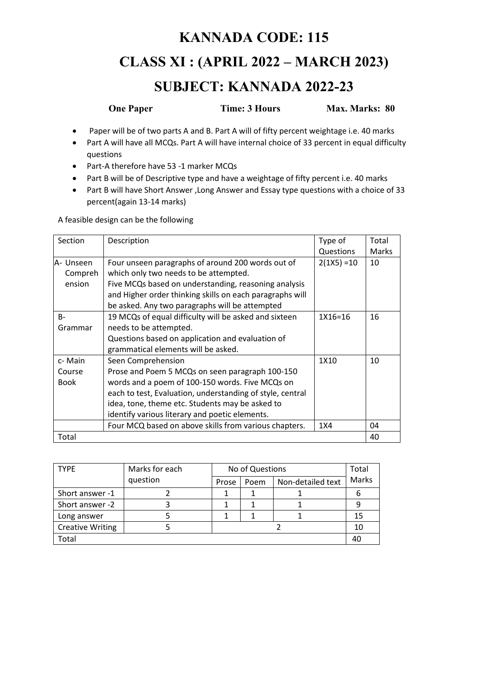## **KANNADA CODE: 115 CLASS XI : (APRIL 2022 – MARCH 2023)**

## **SUBJECT: KANNADA 2022-23**

|                  | Time: 3 Hours | Max. Marks: 80 |
|------------------|---------------|----------------|
| <b>One Paper</b> |               |                |
|                  |               |                |

- Paper will be of two parts A and B. Part A will of fifty percent weightage i.e. 40 marks
- Part A will have all MCQs. Part A will have internal choice of 33 percent in equal difficulty questions
- Part-A therefore have 53 -1 marker MCQs
- Part B will be of Descriptive type and have a weightage of fifty percent i.e. 40 marks
- Part B will have Short Answer ,Long Answer and Essay type questions with a choice of 33 percent(again 13-14 marks)

A feasible design can be the following

| Section     | Description                                               |               | Total |  |
|-------------|-----------------------------------------------------------|---------------|-------|--|
|             |                                                           | Questions     | Marks |  |
| A- Unseen   | Four unseen paragraphs of around 200 words out of         | $2(1X5) = 10$ | 10    |  |
| Compreh     | which only two needs to be attempted.                     |               |       |  |
| ension      | Five MCQs based on understanding, reasoning analysis      |               |       |  |
|             | and Higher order thinking skills on each paragraphs will  |               |       |  |
|             | be asked. Any two paragraphs will be attempted            |               |       |  |
| $B -$       | 19 MCQs of equal difficulty will be asked and sixteen     | 1X16=16       | 16    |  |
| Grammar     | needs to be attempted.                                    |               |       |  |
|             | Questions based on application and evaluation of          |               |       |  |
|             | grammatical elements will be asked.                       |               |       |  |
| c- Main     | Seen Comprehension                                        | 1X10          | 10    |  |
| Course      | Prose and Poem 5 MCQs on seen paragraph 100-150           |               |       |  |
| <b>Book</b> | words and a poem of 100-150 words. Five MCQs on           |               |       |  |
|             | each to test, Evaluation, understanding of style, central |               |       |  |
|             | idea, tone, theme etc. Students may be asked to           |               |       |  |
|             | identify various literary and poetic elements.            |               |       |  |
|             | Four MCQ based on above skills from various chapters.     | 1X4           | 04    |  |
| Total       |                                                           |               | 40    |  |

| <b>TYPE</b>             | Marks for each | No of Questions |      |                   | Total |
|-------------------------|----------------|-----------------|------|-------------------|-------|
|                         | question       | Prose           | Poem | Non-detailed text | Marks |
| Short answer -1         |                |                 |      |                   |       |
| Short answer -2         |                |                 |      |                   | 9     |
| Long answer             |                |                 |      |                   | 15    |
| <b>Creative Writing</b> |                |                 |      |                   | 10    |
| Total                   |                |                 |      |                   |       |